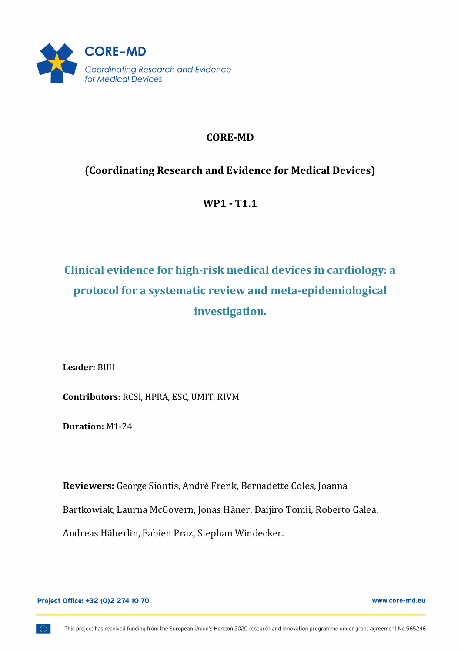

# **CORE-MD**

# **(Coordinating Research and Evidence for Medical Devices)**

**WP1 - T1.1**

# **Clinical evidence for high-risk medical devices in cardiology: a** protocol for a systematic review and meta-epidemiological **investigation.**

**Leader:** BUH

**Contributors: RCSI, HPRA, ESC, UMIT, RIVM** 

**Duration:** M1-24

Reviewers: George Siontis, André Frenk, Bernadette Coles, Joanna Bartkowiak, Laurna McGovern, Jonas Häner, Daijiro Tomii, Roberto Galea, Andreas Häberlin, Fabien Praz, Stephan Windecker.

Project Office: +32 (0)2 274 10 70

www.core-md.eu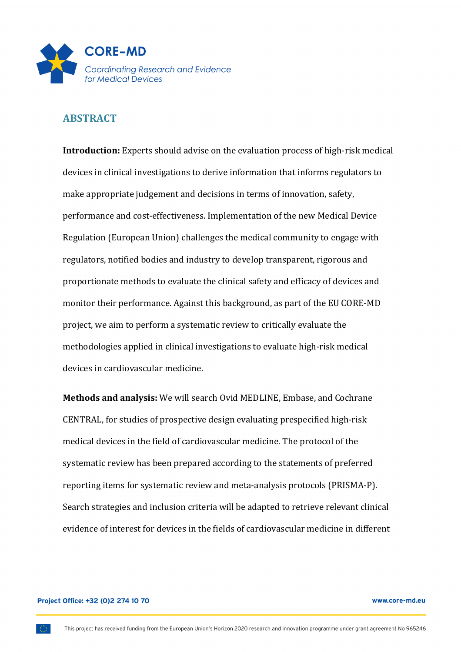

# **ABSTRACT**

**Introduction:** Experts should advise on the evaluation process of high-risk medical devices in clinical investigations to derive information that informs regulators to make appropriate judgement and decisions in terms of innovation, safety, performance and cost-effectiveness. Implementation of the new Medical Device Regulation (European Union) challenges the medical community to engage with regulators, notified bodies and industry to develop transparent, rigorous and proportionate methods to evaluate the clinical safety and efficacy of devices and monitor their performance. Against this background, as part of the EU CORE-MD project, we aim to perform a systematic review to critically evaluate the methodologies applied in clinical investigations to evaluate high-risk medical devices in cardiovascular medicine.

**Methods and analysis:** We will search Ovid MEDLINE, Embase, and Cochrane CENTRAL, for studies of prospective design evaluating prespecified high-risk medical devices in the field of cardiovascular medicine. The protocol of the systematic review has been prepared according to the statements of preferred reporting items for systematic review and meta-analysis protocols (PRISMA-P). Search strategies and inclusion criteria will be adapted to retrieve relevant clinical evidence of interest for devices in the fields of cardiovascular medicine in different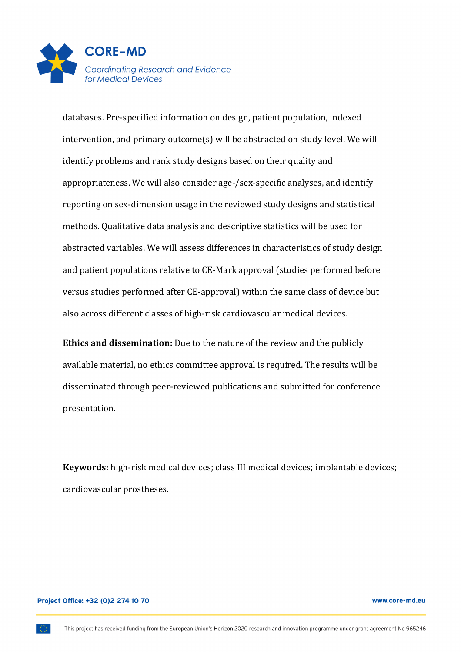

databases. Pre-specified information on design, patient population, indexed intervention, and primary outcome(s) will be abstracted on study level. We will identify problems and rank study designs based on their quality and appropriateness. We will also consider age-/sex-specific analyses, and identify reporting on sex-dimension usage in the reviewed study designs and statistical methods. Qualitative data analysis and descriptive statistics will be used for abstracted variables. We will assess differences in characteristics of study design and patient populations relative to CE-Mark approval (studies performed before versus studies performed after CE-approval) within the same class of device but also across different classes of high-risk cardiovascular medical devices.

**Ethics and dissemination:** Due to the nature of the review and the publicly available material, no ethics committee approval is required. The results will be disseminated through peer-reviewed publications and submitted for conference presentation.

**Keywords:** high-risk medical devices; class III medical devices; implantable devices; cardiovascular prostheses.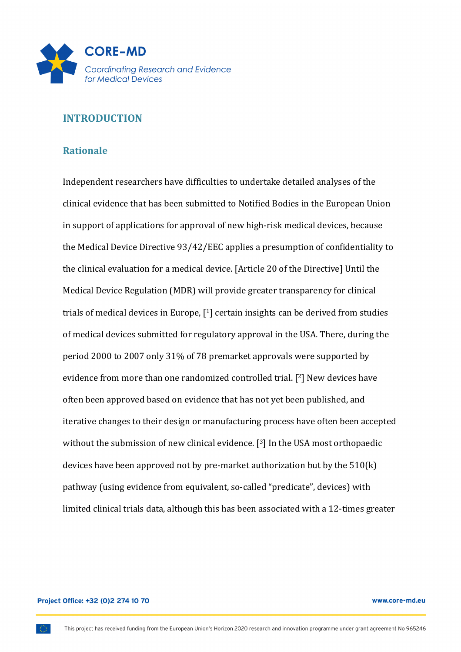

# **INTRODUCTION**

### **Rationale**

Independent researchers have difficulties to undertake detailed analyses of the clinical evidence that has been submitted to Notified Bodies in the European Union in support of applications for approval of new high-risk medical devices, because the Medical Device Directive 93/42/EEC applies a presumption of confidentiality to the clinical evaluation for a medical device. [Article 20 of the Directive] Until the Medical Device Regulation (MDR) will provide greater transparency for clinical trials of medical devices in Europe,  $[1]$  certain insights can be derived from studies of medical devices submitted for regulatory approval in the USA. There, during the period 2000 to 2007 only 31% of 78 premarket approvals were supported by evidence from more than one randomized controlled trial. [2] New devices have often been approved based on evidence that has not yet been published, and iterative changes to their design or manufacturing process have often been accepted without the submission of new clinical evidence.  $[3]$  In the USA most orthopaedic devices have been approved not by pre-market authorization but by the  $510(k)$ pathway (using evidence from equivalent, so-called "predicate", devices) with limited clinical trials data, although this has been associated with a 12-times greater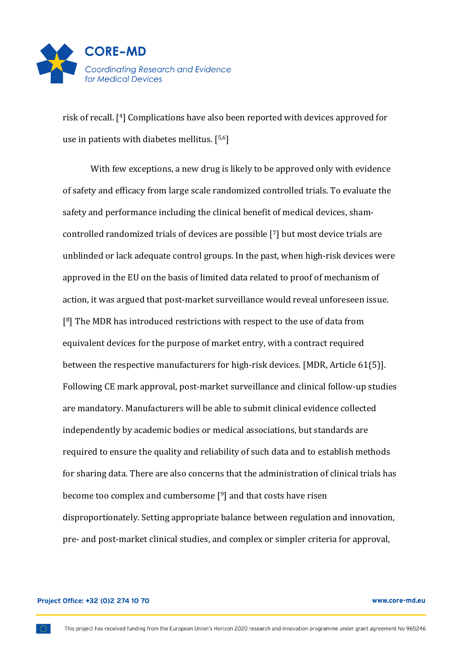

risk of recall. <sup>[4]</sup> Complications have also been reported with devices approved for use in patients with diabetes mellitus.  $[5,6]$ 

With few exceptions, a new drug is likely to be approved only with evidence of safety and efficacy from large scale randomized controlled trials. To evaluate the safety and performance including the clinical benefit of medical devices, shamcontrolled randomized trials of devices are possible [7] but most device trials are unblinded or lack adequate control groups. In the past, when high-risk devices were approved in the EU on the basis of limited data related to proof of mechanism of action, it was argued that post-market surveillance would reveal unforeseen issue.  $[8]$  The MDR has introduced restrictions with respect to the use of data from equivalent devices for the purpose of market entry, with a contract required between the respective manufacturers for high-risk devices. [MDR, Article  $61(5)$ ]. Following CE mark approval, post-market surveillance and clinical follow-up studies are mandatory. Manufacturers will be able to submit clinical evidence collected independently by academic bodies or medical associations, but standards are required to ensure the quality and reliability of such data and to establish methods for sharing data. There are also concerns that the administration of clinical trials has become too complex and cumbersome  $[9]$  and that costs have risen disproportionately. Setting appropriate balance between regulation and innovation, pre- and post-market clinical studies, and complex or simpler criteria for approval,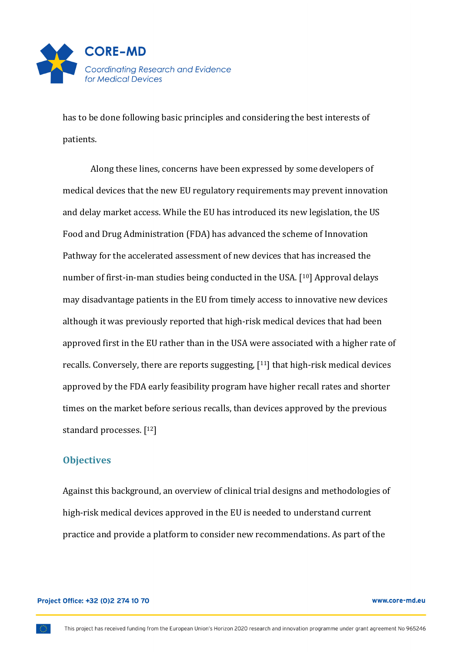

has to be done following basic principles and considering the best interests of patients.

Along these lines, concerns have been expressed by some developers of medical devices that the new EU regulatory requirements may prevent innovation and delay market access. While the EU has introduced its new legislation, the US Food and Drug Administration (FDA) has advanced the scheme of Innovation Pathway for the accelerated assessment of new devices that has increased the number of first-in-man studies being conducted in the USA.  $[10]$  Approval delays may disadvantage patients in the EU from timely access to innovative new devices although it was previously reported that high-risk medical devices that had been approved first in the EU rather than in the USA were associated with a higher rate of recalls. Conversely, there are reports suggesting,  $[11]$  that high-risk medical devices approved by the FDA early feasibility program have higher recall rates and shorter times on the market before serious recalls, than devices approved by the previous standard processes.  $[12]$ 

### **Objectives**

Against this background, an overview of clinical trial designs and methodologies of high-risk medical devices approved in the EU is needed to understand current practice and provide a platform to consider new recommendations. As part of the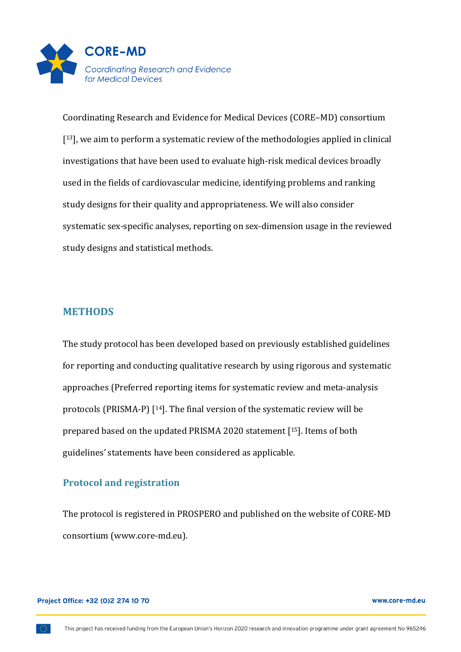

Coordinating Research and Evidence for Medical Devices (CORE–MD) consortium  $[13]$ , we aim to perform a systematic review of the methodologies applied in clinical investigations that have been used to evaluate high-risk medical devices broadly used in the fields of cardiovascular medicine, identifying problems and ranking study designs for their quality and appropriateness. We will also consider systematic sex-specific analyses, reporting on sex-dimension usage in the reviewed study designs and statistical methods.

# **METHODS**

The study protocol has been developed based on previously established guidelines for reporting and conducting qualitative research by using rigorous and systematic approaches (Preferred reporting items for systematic review and meta-analysis protocols (PRISMA-P)  $[14]$ . The final version of the systematic review will be prepared based on the updated PRISMA 2020 statement  $[15]$ . Items of both guidelines' statements have been considered as applicable.

# **Protocol and registration**

The protocol is registered in PROSPERO and published on the website of CORE-MD consortium (www.core-md.eu).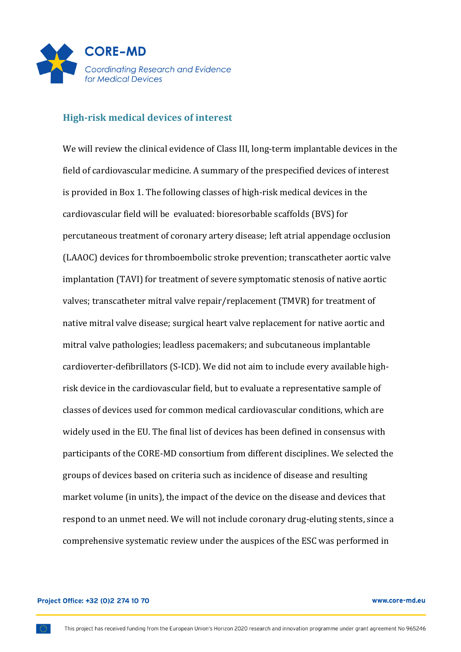

### **High-risk medical devices of interest**

We will review the clinical evidence of Class III, long-term implantable devices in the field of cardiovascular medicine. A summary of the prespecified devices of interest is provided in Box 1. The following classes of high-risk medical devices in the cardiovascular field will be evaluated: bioresorbable scaffolds (BVS) for percutaneous treatment of coronary artery disease; left atrial appendage occlusion (LAAOC) devices for thromboembolic stroke prevention; transcatheter aortic valve implantation (TAVI) for treatment of severe symptomatic stenosis of native aortic valves; transcatheter mitral valve repair/replacement (TMVR) for treatment of native mitral valve disease; surgical heart valve replacement for native aortic and mitral valve pathologies; leadless pacemakers; and subcutaneous implantable cardioverter-defibrillators (S-ICD). We did not aim to include every available highrisk device in the cardiovascular field, but to evaluate a representative sample of classes of devices used for common medical cardiovascular conditions, which are widely used in the EU. The final list of devices has been defined in consensus with participants of the CORE-MD consortium from different disciplines. We selected the groups of devices based on criteria such as incidence of disease and resulting market volume (in units), the impact of the device on the disease and devices that respond to an unmet need. We will not include coronary drug-eluting stents, since a comprehensive systematic review under the auspices of the ESC was performed in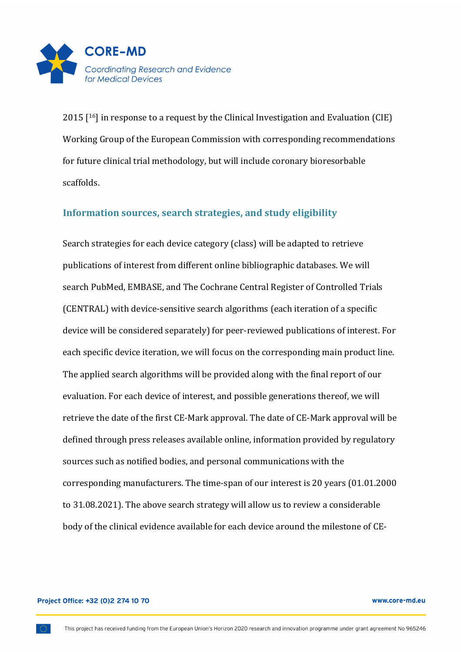

 $2015$  [<sup>16</sup>] in response to a request by the Clinical Investigation and Evaluation (CIE) Working Group of the European Commission with corresponding recommendations for future clinical trial methodology, but will include coronary bioresorbable scaffolds.

# Information sources, search strategies, and study eligibility

Search strategies for each device category (class) will be adapted to retrieve publications of interest from different online bibliographic databases. We will search PubMed, EMBASE, and The Cochrane Central Register of Controlled Trials (CENTRAL) with device-sensitive search algorithms (each iteration of a specific device will be considered separately) for peer-reviewed publications of interest. For each specific device iteration, we will focus on the corresponding main product line. The applied search algorithms will be provided along with the final report of our evaluation. For each device of interest, and possible generations thereof, we will retrieve the date of the first CE-Mark approval. The date of CE-Mark approval will be defined through press releases available online, information provided by regulatory sources such as notified bodies, and personal communications with the corresponding manufacturers. The time-span of our interest is 20 years (01.01.2000) to 31.08.2021). The above search strategy will allow us to review a considerable body of the clinical evidence available for each device around the milestone of CE-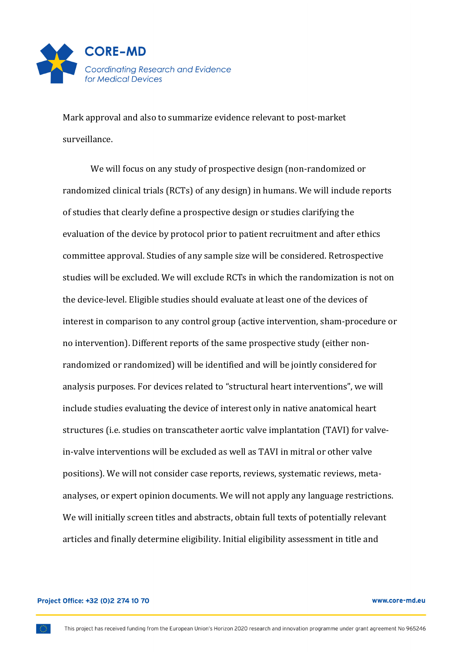

Mark approval and also to summarize evidence relevant to post-market surveillance. 

We will focus on any study of prospective design (non-randomized or randomized clinical trials (RCTs) of any design) in humans. We will include reports of studies that clearly define a prospective design or studies clarifying the evaluation of the device by protocol prior to patient recruitment and after ethics committee approval. Studies of any sample size will be considered. Retrospective studies will be excluded. We will exclude RCTs in which the randomization is not on the device-level. Eligible studies should evaluate at least one of the devices of interest in comparison to any control group (active intervention, sham-procedure or no intervention). Different reports of the same prospective study (either nonrandomized or randomized) will be identified and will be jointly considered for analysis purposes. For devices related to "structural heart interventions", we will include studies evaluating the device of interest only in native anatomical heart structures (i.e. studies on transcatheter aortic valve implantation (TAVI) for valvein-valve interventions will be excluded as well as TAVI in mitral or other valve positions). We will not consider case reports, reviews, systematic reviews, metaanalyses, or expert opinion documents. We will not apply any language restrictions. We will initially screen titles and abstracts, obtain full texts of potentially relevant articles and finally determine eligibility. Initial eligibility assessment in title and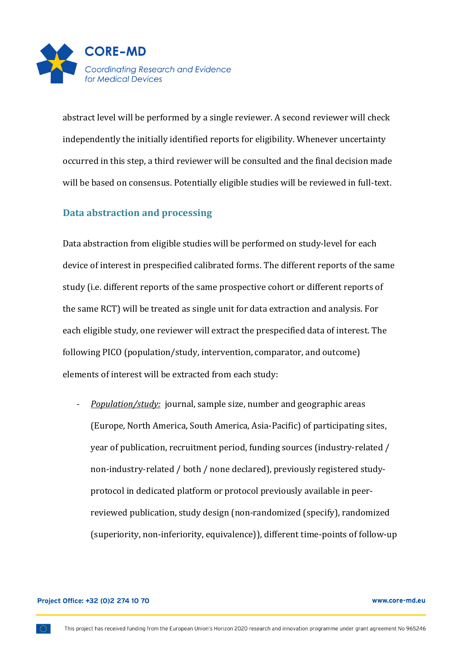

abstract level will be performed by a single reviewer. A second reviewer will check independently the initially identified reports for eligibility. Whenever uncertainty occurred in this step, a third reviewer will be consulted and the final decision made will be based on consensus. Potentially eligible studies will be reviewed in full-text.

# **Data abstraction and processing**

Data abstraction from eligible studies will be performed on study-level for each device of interest in prespecified calibrated forms. The different reports of the same study (i.e. different reports of the same prospective cohort or different reports of the same RCT) will be treated as single unit for data extraction and analysis. For each eligible study, one reviewer will extract the prespecified data of interest. The following PICO (population/study, intervention, comparator, and outcome) elements of interest will be extracted from each study:

*Population/study:* journal, sample size, number and geographic areas (Europe, North America, South America, Asia-Pacific) of participating sites, year of publication, recruitment period, funding sources (industry-related / non-industry-related / both / none declared), previously registered studyprotocol in dedicated platform or protocol previously available in peerreviewed publication, study design (non-randomized (specify), randomized (superiority, non-inferiority, equivalence)), different time-points of follow-up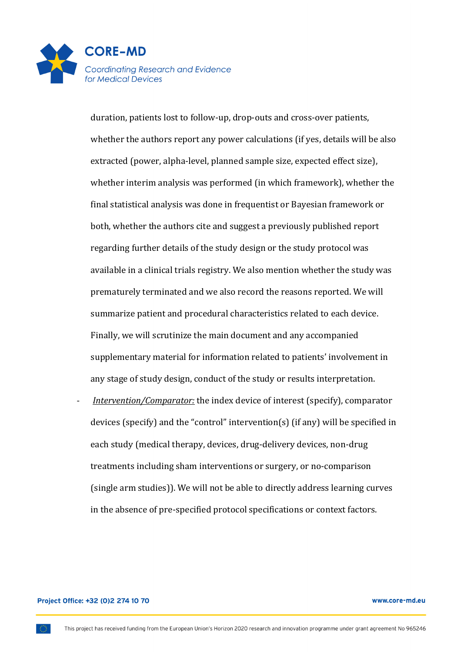

duration, patients lost to follow-up, drop-outs and cross-over patients, whether the authors report any power calculations (if yes, details will be also extracted (power, alpha-level, planned sample size, expected effect size), whether interim analysis was performed (in which framework), whether the final statistical analysis was done in frequentist or Bayesian framework or both, whether the authors cite and suggest a previously published report regarding further details of the study design or the study protocol was available in a clinical trials registry. We also mention whether the study was prematurely terminated and we also record the reasons reported. We will summarize patient and procedural characteristics related to each device. Finally, we will scrutinize the main document and any accompanied supplementary material for information related to patients' involvement in any stage of study design, conduct of the study or results interpretation.

*Intervention/Comparator:* the index device of interest (specify), comparator devices (specify) and the "control" intervention(s) (if any) will be specified in each study (medical therapy, devices, drug-delivery devices, non-drug treatments including sham interventions or surgery, or no-comparison (single arm studies)). We will not be able to directly address learning curves in the absence of pre-specified protocol specifications or context factors.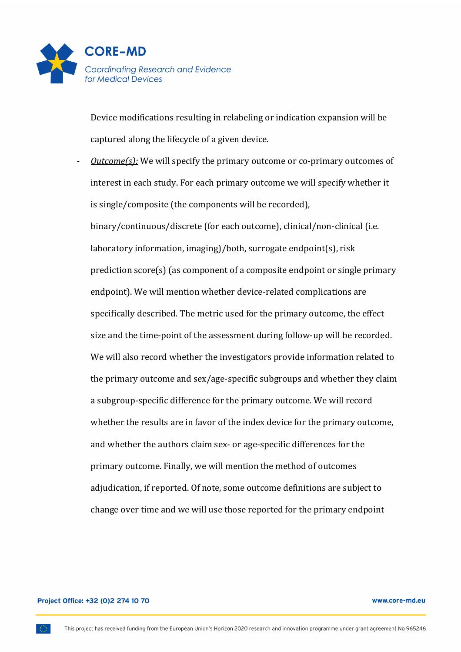

Device modifications resulting in relabeling or indication expansion will be captured along the lifecycle of a given device.

*<u>Outcome(s):</u>* We will specify the primary outcome or co-primary outcomes of interest in each study. For each primary outcome we will specify whether it is single/composite (the components will be recorded), binary/continuous/discrete (for each outcome), clinical/non-clinical (i.e. laboratory information, imaging)/both, surrogate endpoint(s), risk prediction  $score(s)$  (as component of a composite endpoint or single primary endpoint). We will mention whether device-related complications are specifically described. The metric used for the primary outcome, the effect size and the time-point of the assessment during follow-up will be recorded. We will also record whether the investigators provide information related to the primary outcome and sex/age-specific subgroups and whether they claim a subgroup-specific difference for the primary outcome. We will record whether the results are in favor of the index device for the primary outcome, and whether the authors claim sex- or age-specific differences for the primary outcome. Finally, we will mention the method of outcomes adjudication, if reported. Of note, some outcome definitions are subject to change over time and we will use those reported for the primary endpoint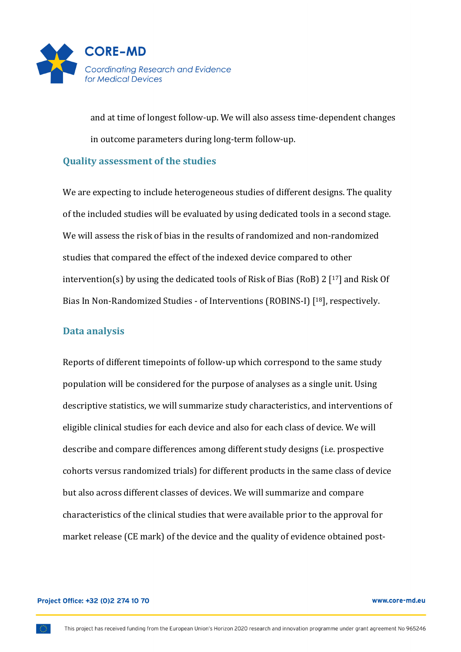

and at time of longest follow-up. We will also assess time-dependent changes in outcome parameters during long-term follow-up.

# **Quality assessment of the studies**

We are expecting to include heterogeneous studies of different designs. The quality of the included studies will be evaluated by using dedicated tools in a second stage. We will assess the risk of bias in the results of randomized and non-randomized studies that compared the effect of the indexed device compared to other intervention(s) by using the dedicated tools of Risk of Bias (RoB) 2  $[17]$  and Risk Of Bias In Non-Randomized Studies - of Interventions (ROBINS-I) [<sup>18</sup>], respectively.

# **Data analysis**

Reports of different timepoints of follow-up which correspond to the same study population will be considered for the purpose of analyses as a single unit. Using descriptive statistics, we will summarize study characteristics, and interventions of eligible clinical studies for each device and also for each class of device. We will describe and compare differences among different study designs (i.e. prospective cohorts versus randomized trials) for different products in the same class of device but also across different classes of devices. We will summarize and compare characteristics of the clinical studies that were available prior to the approval for market release (CE mark) of the device and the quality of evidence obtained post-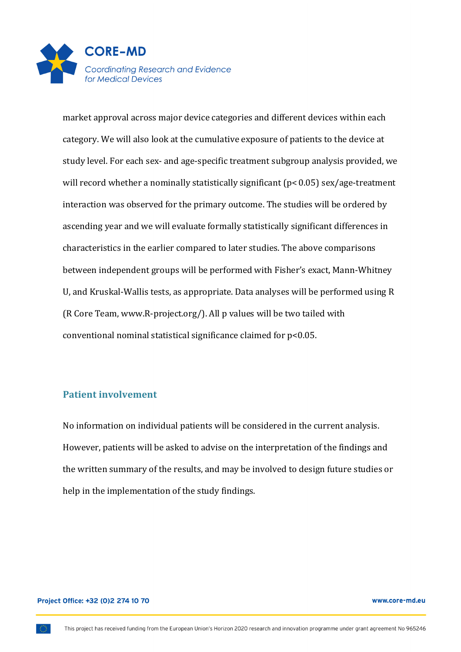

market approval across major device categories and different devices within each category. We will also look at the cumulative exposure of patients to the device at study level. For each sex- and age-specific treatment subgroup analysis provided, we will record whether a nominally statistically significant  $(p< 0.05)$  sex/age-treatment interaction was observed for the primary outcome. The studies will be ordered by ascending year and we will evaluate formally statistically significant differences in characteristics in the earlier compared to later studies. The above comparisons between independent groups will be performed with Fisher's exact, Mann-Whitney U, and Kruskal-Wallis tests, as appropriate. Data analyses will be performed using R (R Core Team, www.R-project.org/). All p values will be two tailed with conventional nominal statistical significance claimed for  $p<0.05$ .

# **Patient involvement**

No information on individual patients will be considered in the current analysis. However, patients will be asked to advise on the interpretation of the findings and the written summary of the results, and may be involved to design future studies or help in the implementation of the study findings.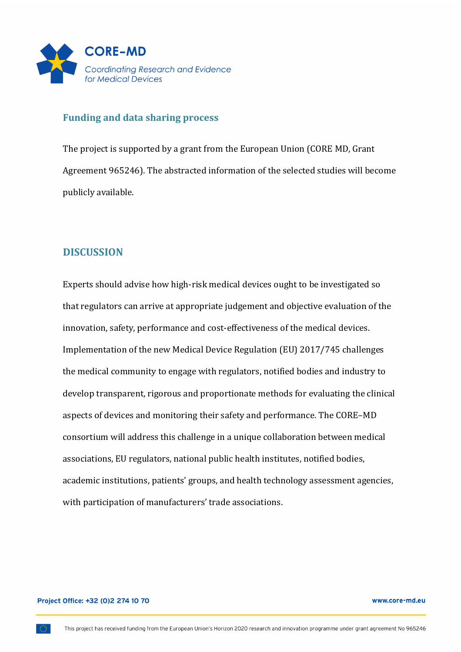

## **Funding and data sharing process**

The project is supported by a grant from the European Union (CORE MD, Grant Agreement 965246). The abstracted information of the selected studies will become publicly available.

# **DISCUSSION**

Experts should advise how high-risk medical devices ought to be investigated so that regulators can arrive at appropriate judgement and objective evaluation of the innovation, safety, performance and cost-effectiveness of the medical devices. Implementation of the new Medical Device Regulation (EU) 2017/745 challenges the medical community to engage with regulators, notified bodies and industry to develop transparent, rigorous and proportionate methods for evaluating the clinical aspects of devices and monitoring their safety and performance. The CORE–MD consortium will address this challenge in a unique collaboration between medical associations, EU regulators, national public health institutes, notified bodies, academic institutions, patients' groups, and health technology assessment agencies, with participation of manufacturers' trade associations.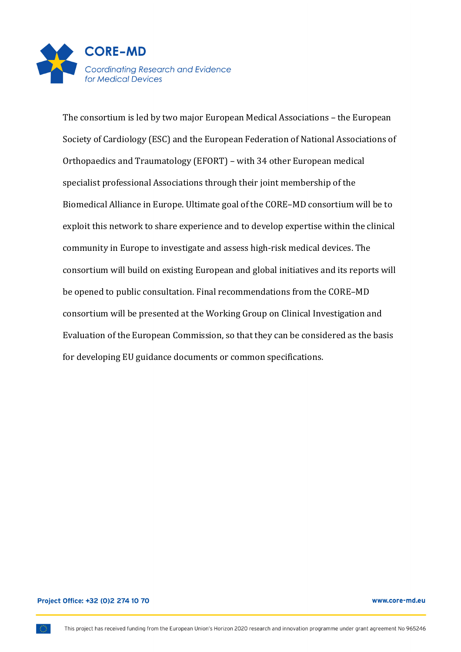

The consortium is led by two major European Medical Associations - the European Society of Cardiology (ESC) and the European Federation of National Associations of Orthopaedics and Traumatology (EFORT) - with 34 other European medical specialist professional Associations through their joint membership of the Biomedical Alliance in Europe. Ultimate goal of the CORE-MD consortium will be to exploit this network to share experience and to develop expertise within the clinical community in Europe to investigate and assess high-risk medical devices. The consortium will build on existing European and global initiatives and its reports will be opened to public consultation. Final recommendations from the CORE-MD consortium will be presented at the Working Group on Clinical Investigation and Evaluation of the European Commission, so that they can be considered as the basis for developing EU guidance documents or common specifications.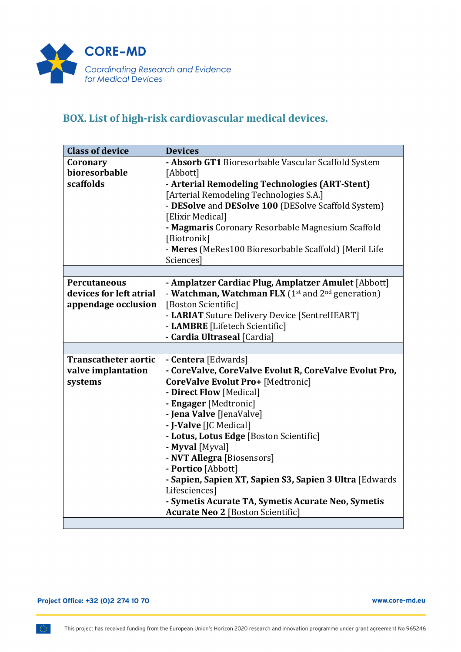

# BOX. List of high-risk cardiovascular medical devices.

| <b>Class of device</b>      | <b>Devices</b>                                              |
|-----------------------------|-------------------------------------------------------------|
| Coronary                    | - Absorb GT1 Bioresorbable Vascular Scaffold System         |
| bioresorbable               | [Abbott]                                                    |
| scaffolds                   | - Arterial Remodeling Technologies (ART-Stent)              |
|                             | [Arterial Remodeling Technologies S.A.]                     |
|                             | - DESolve and DESolve 100 (DESolve Scaffold System)         |
|                             | [Elixir Medical]                                            |
|                             | - Magmaris Coronary Resorbable Magnesium Scaffold           |
|                             | [Biotronik]                                                 |
|                             | - Meres (MeRes100 Bioresorbable Scaffold) [Meril Life       |
|                             | Sciences]                                                   |
|                             |                                                             |
| <b>Percutaneous</b>         | - Amplatzer Cardiac Plug, Amplatzer Amulet [Abbott]         |
| devices for left atrial     | - Watchman, Watchman FLX $(1^{st}$ and $2^{nd}$ generation) |
| appendage occlusion         | [Boston Scientific]                                         |
|                             | - LARIAT Suture Delivery Device [SentreHEART]               |
|                             | - LAMBRE [Lifetech Scientific]                              |
|                             | - Cardia Ultraseal [Cardia]                                 |
|                             |                                                             |
| <b>Transcatheter aortic</b> | - Centera [Edwards]                                         |
| valve implantation          | - CoreValve, CoreValve Evolut R, CoreValve Evolut Pro,      |
| systems                     | CoreValve Evolut Pro+ [Medtronic]                           |
|                             | - Direct Flow [Medical]                                     |
|                             | - Engager [Medtronic]                                       |
|                             | - Jena Valve [JenaValve]                                    |
|                             | - J-Valve [JC Medical]                                      |
|                             | - Lotus, Lotus Edge [Boston Scientific]                     |
|                             | - Myval [Myval]                                             |
|                             | - NVT Allegra [Biosensors]                                  |
|                             | - Portico [Abbott]                                          |
|                             | - Sapien, Sapien XT, Sapien S3, Sapien 3 Ultra [Edwards     |
|                             | Lifesciences]                                               |
|                             | - Symetis Acurate TA, Symetis Acurate Neo, Symetis          |
|                             | <b>Acurate Neo 2 [Boston Scientific]</b>                    |
|                             |                                                             |

www.core-md.eu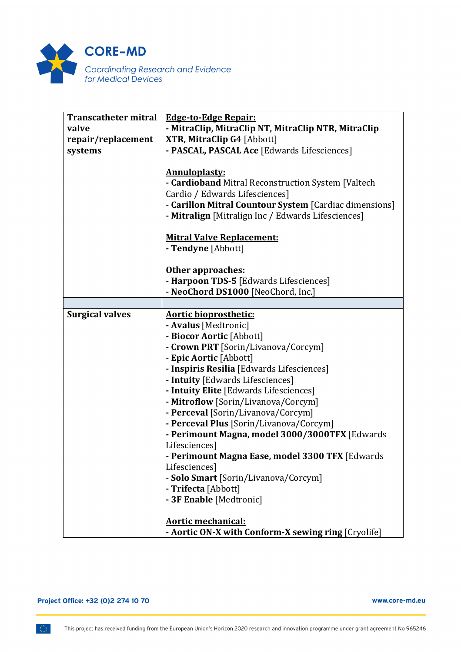

| <b>Transcatheter mitral</b> | <b>Edge-to-Edge Repair:</b>                                                                                                                                                                                                  |
|-----------------------------|------------------------------------------------------------------------------------------------------------------------------------------------------------------------------------------------------------------------------|
| valve                       | - MitraClip, MitraClip NT, MitraClip NTR, MitraClip                                                                                                                                                                          |
| repair/replacement          | XTR, MitraClip G4 [Abbott]                                                                                                                                                                                                   |
| systems                     | - PASCAL, PASCAL Ace [Edwards Lifesciences]                                                                                                                                                                                  |
|                             | <b>Annuloplasty:</b><br>- Cardioband Mitral Reconstruction System [Valtech<br>Cardio / Edwards Lifesciences]<br>- Carillon Mitral Countour System [Cardiac dimensions]<br>- Mitralign [Mitralign Inc / Edwards Lifesciences] |
|                             | <b>Mitral Valve Replacement:</b><br>- Tendyne [Abbott]                                                                                                                                                                       |
|                             | Other approaches:                                                                                                                                                                                                            |
|                             | - Harpoon TDS-5 [Edwards Lifesciences]                                                                                                                                                                                       |
|                             | - NeoChord DS1000 [NeoChord, Inc.]                                                                                                                                                                                           |
|                             |                                                                                                                                                                                                                              |
| <b>Surgical valves</b>      | <b>Aortic bioprosthetic:</b>                                                                                                                                                                                                 |
|                             | - Avalus [Medtronic]                                                                                                                                                                                                         |
|                             | - Biocor Aortic [Abbott]                                                                                                                                                                                                     |
|                             | - Crown PRT [Sorin/Livanova/Corcym]                                                                                                                                                                                          |
|                             | - Epic Aortic [Abbott]                                                                                                                                                                                                       |
|                             | - Inspiris Resilia [Edwards Lifesciences]                                                                                                                                                                                    |
|                             | - Intuity [Edwards Lifesciences]                                                                                                                                                                                             |
|                             | - Intuity Elite [Edwards Lifesciences]                                                                                                                                                                                       |
|                             | - Mitroflow [Sorin/Livanova/Corcym]                                                                                                                                                                                          |
|                             | - Perceval [Sorin/Livanova/Corcym]                                                                                                                                                                                           |
|                             | - Perceval Plus [Sorin/Livanova/Corcym]                                                                                                                                                                                      |
|                             | - Perimount Magna, model 3000/3000TFX [Edwards                                                                                                                                                                               |
|                             | Lifesciences]                                                                                                                                                                                                                |
|                             | - Perimount Magna Ease, model 3300 TFX [Edwards                                                                                                                                                                              |
|                             | Lifesciences]                                                                                                                                                                                                                |
|                             | - Solo Smart [Sorin/Livanova/Corcym]                                                                                                                                                                                         |
|                             | - Trifecta [Abbott]                                                                                                                                                                                                          |
|                             | - 3F Enable [Medtronic]                                                                                                                                                                                                      |
|                             |                                                                                                                                                                                                                              |
|                             | <b>Aortic mechanical:</b>                                                                                                                                                                                                    |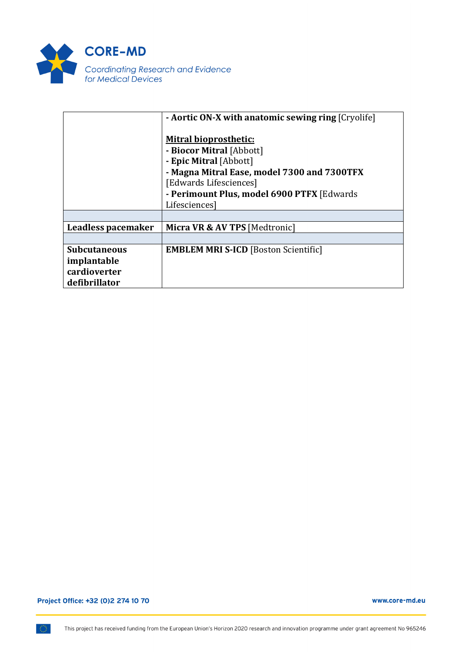

|                                                                     | - <b>Aortic ON-X with anatomic sewing ring</b> [Cryolife]                                                                                                                                                 |
|---------------------------------------------------------------------|-----------------------------------------------------------------------------------------------------------------------------------------------------------------------------------------------------------|
|                                                                     | <b>Mitral bioprosthetic:</b><br>- Biocor Mitral [Abbott]<br>- Epic Mitral [Abbott]<br>- Magna Mitral Ease, model 7300 and 7300TFX<br>[Edwards Lifesciences]<br>- Perimount Plus, model 6900 PTFX [Edwards |
|                                                                     | Lifesciences]                                                                                                                                                                                             |
|                                                                     |                                                                                                                                                                                                           |
| Leadless pacemaker                                                  | Micra VR & AV TPS [Medtronic]                                                                                                                                                                             |
|                                                                     |                                                                                                                                                                                                           |
| <b>Subcutaneous</b><br>implantable<br>cardioverter<br>defibrillator | <b>EMBLEM MRI S-ICD [Boston Scientific]</b>                                                                                                                                                               |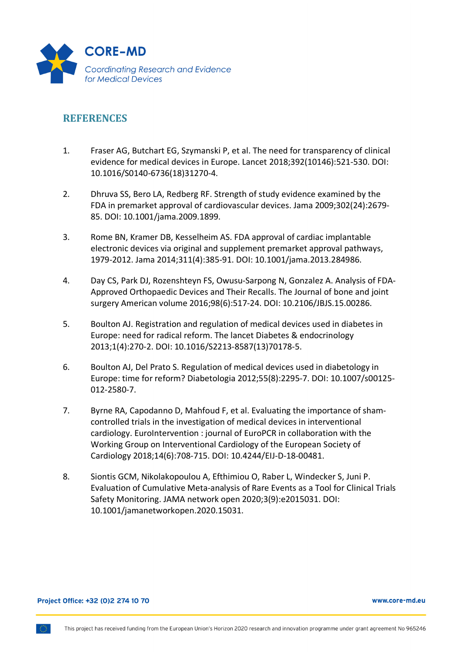

# **REFERENCES**

- 1. Fraser AG, Butchart EG, Szymanski P, et al. The need for transparency of clinical evidence for medical devices in Europe. Lancet 2018;392(10146):521-530. DOI: 10.1016/S0140-6736(18)31270-4.
- 2. Dhruva SS, Bero LA, Redberg RF. Strength of study evidence examined by the FDA in premarket approval of cardiovascular devices. Jama 2009;302(24):2679- 85. DOI: 10.1001/jama.2009.1899.
- 3. Rome BN, Kramer DB, Kesselheim AS. FDA approval of cardiac implantable electronic devices via original and supplement premarket approval pathways, 1979-2012. Jama 2014;311(4):385-91. DOI: 10.1001/jama.2013.284986.
- 4. Day CS, Park DJ, Rozenshteyn FS, Owusu-Sarpong N, Gonzalez A. Analysis of FDA-Approved Orthopaedic Devices and Their Recalls. The Journal of bone and joint surgery American volume 2016;98(6):517-24. DOI: 10.2106/JBJS.15.00286.
- 5. Boulton AJ. Registration and regulation of medical devices used in diabetes in Europe: need for radical reform. The lancet Diabetes & endocrinology 2013;1(4):270-2. DOI: 10.1016/S2213-8587(13)70178-5.
- 6. Boulton AJ, Del Prato S. Regulation of medical devices used in diabetology in Europe: time for reform? Diabetologia 2012;55(8):2295-7. DOI: 10.1007/s00125- 012-2580-7.
- 7. Byrne RA, Capodanno D, Mahfoud F, et al. Evaluating the importance of shamcontrolled trials in the investigation of medical devices in interventional cardiology. EuroIntervention : journal of EuroPCR in collaboration with the Working Group on Interventional Cardiology of the European Society of Cardiology 2018;14(6):708-715. DOI: 10.4244/EIJ-D-18-00481.
- 8. Siontis GCM, Nikolakopoulou A, Efthimiou O, Raber L, Windecker S, Juni P. Evaluation of Cumulative Meta-analysis of Rare Events as a Tool for Clinical Trials Safety Monitoring. JAMA network open 2020;3(9):e2015031. DOI: 10.1001/jamanetworkopen.2020.15031.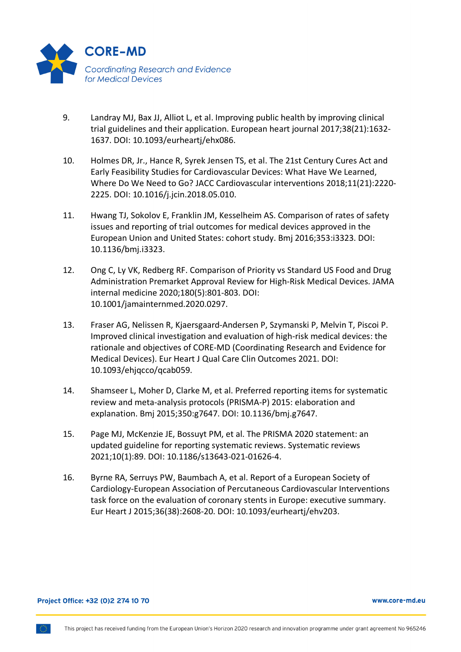

- 9. Landray MJ, Bax JJ, Alliot L, et al. Improving public health by improving clinical trial guidelines and their application. European heart journal 2017;38(21):1632- 1637. DOI: 10.1093/eurheartj/ehx086.
- 10. Holmes DR, Jr., Hance R, Syrek Jensen TS, et al. The 21st Century Cures Act and Early Feasibility Studies for Cardiovascular Devices: What Have We Learned, Where Do We Need to Go? JACC Cardiovascular interventions 2018;11(21):2220- 2225. DOI: 10.1016/j.jcin.2018.05.010.
- 11. Hwang TJ, Sokolov E, Franklin JM, Kesselheim AS. Comparison of rates of safety issues and reporting of trial outcomes for medical devices approved in the European Union and United States: cohort study. Bmj 2016;353:i3323. DOI: 10.1136/bmj.i3323.
- 12. Ong C, Ly VK, Redberg RF. Comparison of Priority vs Standard US Food and Drug Administration Premarket Approval Review for High-Risk Medical Devices. JAMA internal medicine 2020;180(5):801-803. DOI: 10.1001/jamainternmed.2020.0297.
- 13. Fraser AG, Nelissen R, Kjaersgaard-Andersen P, Szymanski P, Melvin T, Piscoi P. Improved clinical investigation and evaluation of high-risk medical devices: the rationale and objectives of CORE-MD (Coordinating Research and Evidence for Medical Devices). Eur Heart J Qual Care Clin Outcomes 2021. DOI: 10.1093/ehjqcco/qcab059.
- 14. Shamseer L, Moher D, Clarke M, et al. Preferred reporting items for systematic review and meta-analysis protocols (PRISMA-P) 2015: elaboration and explanation. Bmj 2015;350:g7647. DOI: 10.1136/bmj.g7647.
- 15. Page MJ, McKenzie JE, Bossuyt PM, et al. The PRISMA 2020 statement: an updated guideline for reporting systematic reviews. Systematic reviews 2021;10(1):89. DOI: 10.1186/s13643-021-01626-4.
- 16. Byrne RA, Serruys PW, Baumbach A, et al. Report of a European Society of Cardiology-European Association of Percutaneous Cardiovascular Interventions task force on the evaluation of coronary stents in Europe: executive summary. Eur Heart J 2015;36(38):2608-20. DOI: 10.1093/eurheartj/ehv203.

### Project Office: +32 (0)2 274 10 70

#### www.core-md.eu